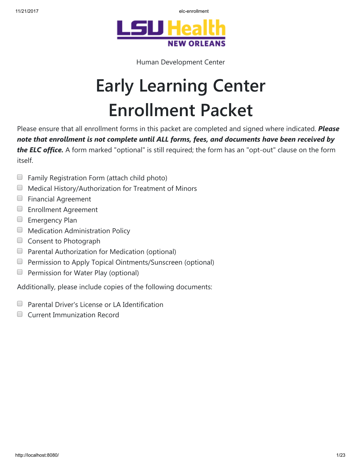



Human Development Center

# Early Learning Center Enrollment Packet

Please ensure that all enrollment forms in this packet are completed and signed where indicated. Please note that enrollment is not complete until ALL forms, fees, and documents have been received by the ELC office. A form marked "optional" is still required; the form has an "opt-out" clause on the form itself.

- $\Box$  Family Registration Form (attach child photo)
- $\Box$  Medical History/Authorization for Treatment of Minors
- **Financial Agreement**
- **Enrollment Agreement**
- **Emergency Plan**
- **Medication Administration Policy**
- Consent to Photograph
- $\Box$  Parental Authorization for Medication (optional)
- **Permission to Apply Topical Ointments/Sunscreen (optional)**
- Permission for Water Play (optional)  $\Box$

Additionally, please include copies of the following documents:

- Parental Driver's License or LA Identification  $\Box$
- $\Box$ Current Immunization Record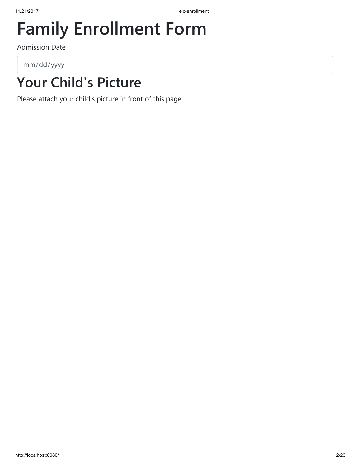## Family Enrollment Form

Admission Date

mm/dd/yyyy

## Your Child's Picture

Please attach your child's picture in front of this page.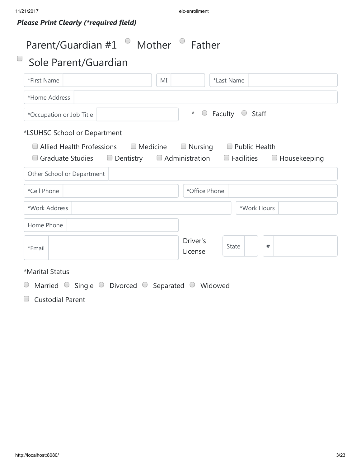### Please Print Clearly (\*required field)

| Parent/Guardian #1<br>$\Box$<br>Sole Parent/Guardian                                                               | Mother | Father                 |                                           |             |                     |
|--------------------------------------------------------------------------------------------------------------------|--------|------------------------|-------------------------------------------|-------------|---------------------|
| *First Name                                                                                                        | МI     |                        | *Last Name                                |             |                     |
| *Home Address                                                                                                      |        |                        |                                           |             |                     |
| *Occupation or Job Title                                                                                           |        | $^\star$<br>$\bigcirc$ | Faculty $\circ$ Staff                     |             |                     |
| *LSUHSC School or Department                                                                                       |        |                        |                                           |             |                     |
| $\Box$ Allied Health Professions $\Box$ Medicine<br>$\Box$ Graduate Studies $\Box$ Dentistry $\Box$ Administration |        | $\Box$ Nursing         | $\Box$ Public Health<br>$\Box$ Facilities |             | $\Box$ Housekeeping |
| Other School or Department                                                                                         |        |                        |                                           |             |                     |
| *Cell Phone                                                                                                        |        | *Office Phone          |                                           |             |                     |
| *Work Address                                                                                                      |        |                        |                                           | *Work Hours |                     |
| Home Phone                                                                                                         |        |                        |                                           |             |                     |
| *Email                                                                                                             |        | Driver's<br>License    | State                                     | $\#$        |                     |
| *Marital Status                                                                                                    |        |                        |                                           |             |                     |
| Married $\circ$ Single $\circ$ Divorced $\circ$ Separated $\circ$ Widowed                                          |        |                        |                                           |             |                     |
| $\Box$<br><b>Custodial Parent</b>                                                                                  |        |                        |                                           |             |                     |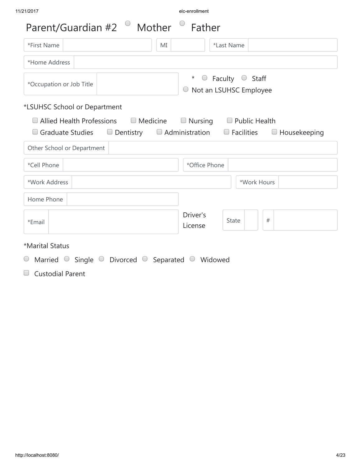| *First Name                                                                                                                                                          | *Last Name<br>MI                                                           |
|----------------------------------------------------------------------------------------------------------------------------------------------------------------------|----------------------------------------------------------------------------|
| *Home Address                                                                                                                                                        |                                                                            |
| *Occupation or Job Title                                                                                                                                             | Faculty $\circ$ Staff<br>$\bigcirc$<br>$\star$<br>O Not an LSUHSC Employee |
| *LSUHSC School or Department<br>$\Box$ Allied Health Professions $\Box$ Medicine<br>$\Box$ Graduate Studies $\Box$ Dentistry $\Box$ Administration $\Box$ Facilities | $\Box$ Nursing<br>$\Box$ Public Health<br>$\Box$ Housekeeping              |
|                                                                                                                                                                      |                                                                            |
|                                                                                                                                                                      |                                                                            |
|                                                                                                                                                                      | *Office Phone                                                              |
| Other School or Department<br>*Cell Phone<br>*Work Address                                                                                                           | *Work Hours                                                                |
| Home Phone                                                                                                                                                           |                                                                            |
| *Email                                                                                                                                                               | Driver's<br>$\#$<br><b>State</b><br>License                                |
| *Marital Status                                                                                                                                                      |                                                                            |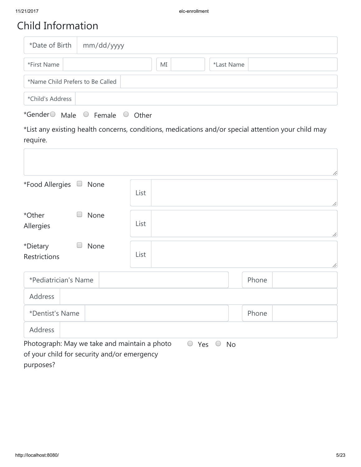### Child Information

| *Date of Birth                   | mm/dd/yyyy |    |            |  |
|----------------------------------|------------|----|------------|--|
| *First Name                      |            | MI | *Last Name |  |
| *Name Child Prefers to Be Called |            |    |            |  |
| *Child's Address                 |            |    |            |  |

| *Gender $\circlearrowright$<br>Male<br>Female<br>Other |
|--------------------------------------------------------|
|--------------------------------------------------------|

\*List any existing health concerns, conditions, medications and/or special attention your child may require.

|                                              |                                 | 11        |
|----------------------------------------------|---------------------------------|-----------|
| *Food Allergies<br>None                      | List                            | 11        |
| *Other<br>None<br>Allergies                  | List                            | 11        |
| *Dietary<br>None<br>Restrictions             | List                            | 11        |
| *Pediatrician's Name                         |                                 | Phone     |
| Address                                      |                                 |           |
| *Dentist's Name                              |                                 | Phone     |
| Address                                      |                                 |           |
| Photograph: May we take and maintain a photo | $\bigcirc$<br>Yes<br>$\bigcirc$ | <b>No</b> |
| of your child for security and/or emergency  |                                 |           |

purposes?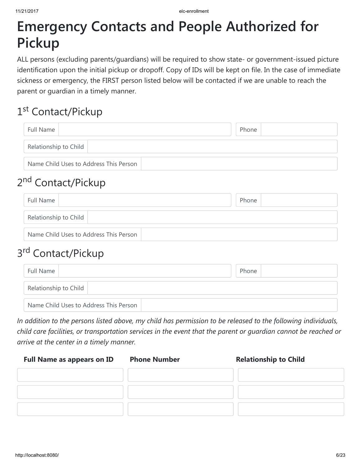## Emergency Contacts and People Authorized for Pickup

ALL persons (excluding parents/guardians) will be required to show state- or government-issued picture identification upon the initial pickup or dropoff. Copy of IDs will be kept on file. In the case of immediate sickness or emergency, the FIRST person listed below will be contacted if we are unable to reach the parent or guardian in a timely manner.

## 1<sup>st</sup> Contact/Pickup

| Full Name                              | Phone |  |  |
|----------------------------------------|-------|--|--|
| Relationship to Child                  |       |  |  |
| Name Child Uses to Address This Person |       |  |  |

## 2<sup>nd</sup> Contact/Pickup

| Full Name                              | Phone |  |
|----------------------------------------|-------|--|
| Relationship to Child                  |       |  |
| Name Child Uses to Address This Person |       |  |

### 3<sup>rd</sup> Contact/Pickup

| Full Name                              | Phone |
|----------------------------------------|-------|
| Relationship to Child                  |       |
| Name Child Uses to Address This Person |       |

In addition to the persons listed above, my child has permission to be released to the following individuals, child care facilities, or transportation services in the event that the parent or guardian cannot be reached or arrive at the center in a timely manner.

| <b>Full Name as appears on ID</b> | <b>Phone Number</b> | <b>Relationship to Child</b> |
|-----------------------------------|---------------------|------------------------------|
|                                   |                     |                              |
|                                   |                     |                              |
|                                   |                     |                              |
|                                   |                     |                              |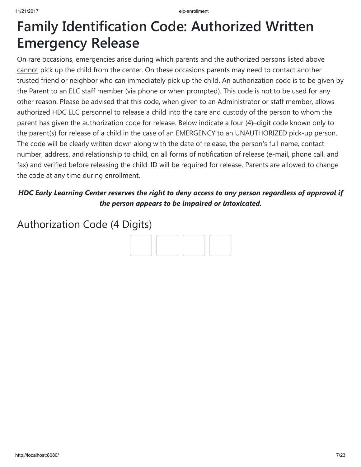## Family Identification Code: Authorized Written Emergency Release

On rare occasions, emergencies arise during which parents and the authorized persons listed above cannot pick up the child from the center. On these occasions parents may need to contact another trusted friend or neighbor who can immediately pick up the child. An authorization code is to be given by the Parent to an ELC staff member (via phone or when prompted). This code is not to be used for any other reason. Please be advised that this code, when given to an Administrator or staff member, allows authorized HDC ELC personnel to release a child into the care and custody of the person to whom the parent has given the authorization code for release. Below indicate a four (4)–digit code known only to the parent(s) for release of a child in the case of an EMERGENCY to an UNAUTHORIZED pick-up person. The code will be clearly written down along with the date of release, the person's full name, contact number, address, and relationship to child, on all forms of notification of release (e-mail, phone call, and fax) and verified before releasing the child. ID will be required for release. Parents are allowed to change the code at any time during enrollment.

### HDC Early Learning Center reserves the right to deny access to any person regardless of approval if the person appears to be impaired or intoxicated.

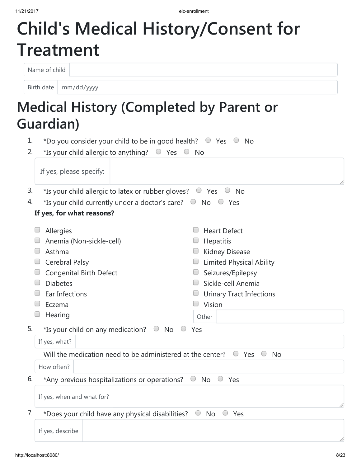# Child's Medical History/Consent for Treatment

Name of child

Birth date mm/dd/yyyy

## Medical History (Completed by Parent or Guardian)

|    | uardian)                                                                                                                                                      |                                                                                                                                                                                               |  |  |  |
|----|---------------------------------------------------------------------------------------------------------------------------------------------------------------|-----------------------------------------------------------------------------------------------------------------------------------------------------------------------------------------------|--|--|--|
| 1. | *Do you consider your child to be in good health? $\circ$ Yes $\circ$ No                                                                                      |                                                                                                                                                                                               |  |  |  |
| 2. | *Is your child allergic to anything? $\circ$ Yes $\circ$ No                                                                                                   |                                                                                                                                                                                               |  |  |  |
|    | If yes, please specify:                                                                                                                                       |                                                                                                                                                                                               |  |  |  |
| 3. | *Is your child allergic to latex or rubber gloves? $\circ$ Yes $\circ$ No                                                                                     |                                                                                                                                                                                               |  |  |  |
| 4. | *Is your child currently under a doctor's care? $\Box$ No $\Box$ Yes                                                                                          |                                                                                                                                                                                               |  |  |  |
|    | If yes, for what reasons?                                                                                                                                     |                                                                                                                                                                                               |  |  |  |
|    | Allergies<br>Anemia (Non-sickle-cell)<br>Asthma<br>Cerebral Palsy<br><b>Congenital Birth Defect</b><br><b>Diabetes</b><br>Ear Infections<br>Eczema<br>Hearing | <b>Heart Defect</b><br>Hepatitis<br><b>Kidney Disease</b><br><b>Limited Physical Ability</b><br>Seizures/Epilepsy<br>Sickle-cell Anemia<br><b>Urinary Tract Infections</b><br>Vision<br>Other |  |  |  |
| 5. | *Is your child on any medication? $\Box$ No                                                                                                                   | Yes                                                                                                                                                                                           |  |  |  |
|    | If yes, what?                                                                                                                                                 |                                                                                                                                                                                               |  |  |  |
|    | Will the medication need to be administered at the center?                                                                                                    | $\cup$<br>Yes<br><b>No</b>                                                                                                                                                                    |  |  |  |
|    | How often?                                                                                                                                                    |                                                                                                                                                                                               |  |  |  |
| 6. | *Any previous hospitalizations or operations?                                                                                                                 | $\bigcirc$<br><b>No</b><br>$\cup$<br>Yes                                                                                                                                                      |  |  |  |
|    | If yes, when and what for?                                                                                                                                    |                                                                                                                                                                                               |  |  |  |

7. \*Does your child have any physical disabilities?  $\circ$  No  $\circ$  Yes

If yes, describe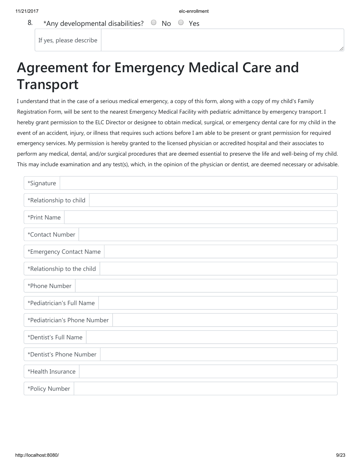#### 8. \*Any developmental disabilities?  $\circ$  No  $\circ$  Yes

If yes, please describe

## Agreement for Emergency Medical Care and Transport

I understand that in the case of a serious medical emergency, a copy of this form, along with a copy of my child's Family Registration Form, will be sent to the nearest Emergency Medical Facility with pediatric admittance by emergency transport. I hereby grant permission to the ELC Director or designee to obtain medical, surgical, or emergency dental care for my child in the event of an accident, injury, or illness that requires such actions before I am able to be present or grant permission for required emergency services. My permission is hereby granted to the licensed physician or accredited hospital and their associates to perform any medical, dental, and/or surgical procedures that are deemed essential to preserve the life and well-being of my child. This may include examination and any test(s), which, in the opinion of the physician or dentist, are deemed necessary or advisable.

| *Signature                   |  |  |  |  |
|------------------------------|--|--|--|--|
| *Relationship to child       |  |  |  |  |
| *Print Name                  |  |  |  |  |
| *Contact Number              |  |  |  |  |
| *Emergency Contact Name      |  |  |  |  |
| *Relationship to the child   |  |  |  |  |
| *Phone Number                |  |  |  |  |
| *Pediatrician's Full Name    |  |  |  |  |
| *Pediatrician's Phone Number |  |  |  |  |
| *Dentist's Full Name         |  |  |  |  |
| *Dentist's Phone Number      |  |  |  |  |
| *Health Insurance            |  |  |  |  |
| *Policy Number               |  |  |  |  |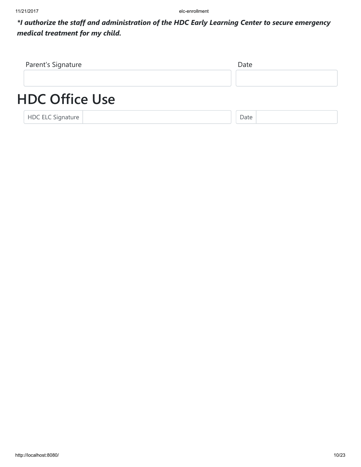\*I authorize the staff and administration of the HDC Early Learning Center to secure emergency medical treatment for my child.

| Parent's Signature       | Date |
|--------------------------|------|
|                          |      |
| <b>HDC Office Use</b>    |      |
| <b>HDC ELC Signature</b> | Date |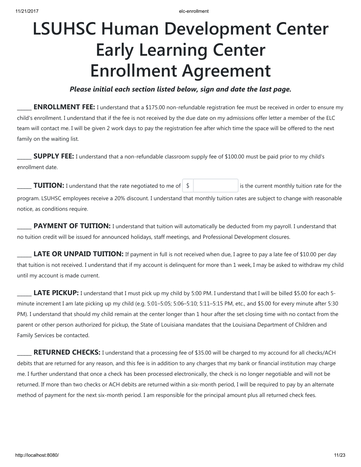# LSUHSC Human Development Center Early Learning Center Enrollment Agreement

#### Please initial each section listed below, sign and date the last page.

**ENROLLMENT FEE:** I understand that a \$175.00 non-refundable registration fee must be received in order to ensure my child's enrollment. I understand that if the fee is not received by the due date on my admissions offer letter a member of the ELC team will contact me. I will be given 2 work days to pay the registration fee after which time the space will be offered to the next family on the waiting list.

**SUPPLY FEE:** I understand that a non-refundable classroom supply fee of \$100.00 must be paid prior to my child's enrollment date.

**TUITION:** I understand that the rate negotiated to me of  $\vert \$ \vert$  is the current monthly tuition rate for the program. LSUHSC employees receive a 20% discount. I understand that monthly tuition rates are subject to change with reasonable

PAYMENT OF TUITION: I understand that tuition will automatically be deducted from my payroll. I understand that no tuition credit will be issued for announced holidays, staff meetings, and Professional Development closures.

**LATE OR UNPAID TUITION:** If payment in full is not received when due, I agree to pay a late fee of \$10.00 per day that tuition is not received. I understand that if my account is delinquent for more than 1 week, I may be asked to withdraw my child until my account is made current.

LATE PICKUP: I understand that I must pick up my child by 5:00 PM. I understand that I will be billed \$5.00 for each 5minute increment I am late picking up my child (e.g. 5:01–5:05; 5:06–5:10; 5:11–5:15 PM, etc., and \$5.00 for every minute after 5:30 PM). I understand that should my child remain at the center longer than 1 hour after the set closing time with no contact from the parent or other person authorized for pickup, the State of Louisiana mandates that the Louisiana Department of Children and Family Services be contacted.

**RETURNED CHECKS:** I understand that a processing fee of \$35.00 will be charged to my accound for all checks/ACH debits that are returned for any reason, and this fee is in addition to any charges that my bank or financial institution may charge me. I further understand that once a check has been processed electronically, the check is no longer negotiable and will not be returned. If more than two checks or ACH debits are returned within a six-month period, I will be required to pay by an alternate method of payment for the next six-month period. I am responsible for the principal amount plus all returned check fees.

notice, as conditions require.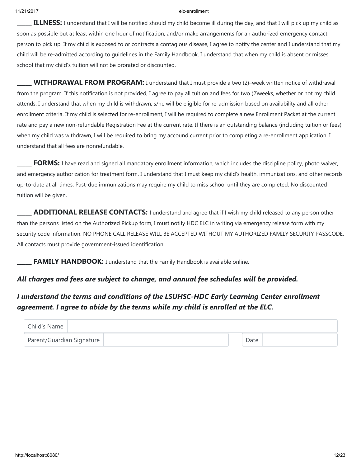**ILLNESS:** I understand that I will be notified should my child become ill during the day, and that I will pick up my child as soon as possible but at least within one hour of notification, and/or make arrangements for an authorized emergency contact person to pick up. If my child is exposed to or contracts a contagious disease, I agree to notify the center and I understand that my child will be re-admitted according to guidelines in the Family Handbook. I understand that when my child is absent or misses school that my child's tuition will not be prorated or discounted.

WITHDRAWAL FROM PROGRAM: I understand that I must provide a two (2)–week written notice of withdrawal from the program. If this notification is not provided, I agree to pay all tuition and fees for two (2)weeks, whether or not my child attends. I understand that when my child is withdrawn, s/he will be eligible for re-admission based on availability and all other enrollment criteria. If my child is selected for re-enrollment, I will be required to complete a new Enrollment Packet at the current rate and pay a new non-refundable Registration Fee at the current rate. If there is an outstanding balance (including tuition or fees) when my child was withdrawn, I will be required to bring my accound current prior to completing a re-enrollment application. I understand that all fees are nonrefundable.

FORMS: I have read and signed all mandatory enrollment information, which includes the discipline policy, photo waiver, and emergency authorization for treatment form. I understand that I must keep my child's health, immunizations, and other records up-to-date at all times. Past-due immunizations may require my child to miss school until they are completed. No discounted tuition will be given.

**ADDITIONAL RELEASE CONTACTS:** I understand and agree that if I wish my child released to any person other than the persons listed on the Authorized Pickup form, I must notify HDC ELC in writing via emergency release form with my security code information. NO PHONE CALL RELEASE WILL BE ACCEPTED WITHOUT MY AUTHORIZED FAMILY SECURITY PASSCODE. All contacts must provide government-issued identification.

**FAMILY HANDBOOK:** I understand that the Family Handbook is available online.

#### All charges and fees are subject to change, and annual fee schedules will be provided.

#### I understand the terms and conditions of the LSUHSC-HDC Early Learning Center enrollment agreement. I agree to abide by the terms while my child is enrolled at the ELC.

| Child's Name              |      |  |
|---------------------------|------|--|
| Parent/Guardian Signature | Date |  |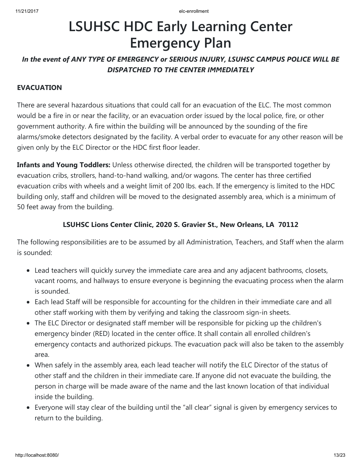## LSUHSC HDC Early Learning Center Emergency Plan

### In the event of ANY TYPE OF EMERGENCY or SERIOUS INJURY, LSUHSC CAMPUS POLICE WILL BE DISPATCHED TO THE CENTER IMMEDIATELY

#### EVACUATION

There are several hazardous situations that could call for an evacuation of the ELC. The most common would be a fire in or near the facility, or an evacuation order issued by the local police, fire, or other government authority. A fire within the building will be announced by the sounding of the fire alarms/smoke detectors designated by the facility. A verbal order to evacuate for any other reason will be given only by the ELC Director or the HDC first floor leader.

Infants and Young Toddlers: Unless otherwise directed, the children will be transported together by evacuation cribs, strollers, hand-to-hand walking, and/or wagons. The center has three certified evacuation cribs with wheels and a weight limit of 200 lbs. each. If the emergency is limited to the HDC building only, staff and children will be moved to the designated assembly area, which is a minimum of 50 feet away from the building.

#### LSUHSC Lions Center Clinic, 2020 S. Gravier St., New Orleans, LA 70112

The following responsibilities are to be assumed by all Administration, Teachers, and Staff when the alarm is sounded:

- Lead teachers will quickly survey the immediate care area and any adjacent bathrooms, closets, vacant rooms, and hallways to ensure everyone is beginning the evacuating process when the alarm is sounded.
- Each lead Staff will be responsible for accounting for the children in their immediate care and all other staff working with them by verifying and taking the classroom sign-in sheets.
- The ELC Director or designated staff member will be responsible for picking up the children's emergency binder (RED) located in the center office. It shall contain all enrolled children's emergency contacts and authorized pickups. The evacuation pack will also be taken to the assembly area.
- When safely in the assembly area, each lead teacher will notify the ELC Director of the status of other staff and the children in their immediate care. If anyone did not evacuate the building, the person in charge will be made aware of the name and the last known location of that individual inside the building.
- Everyone will stay clear of the building until the "all clear" signal is given by emergency services to return to the building.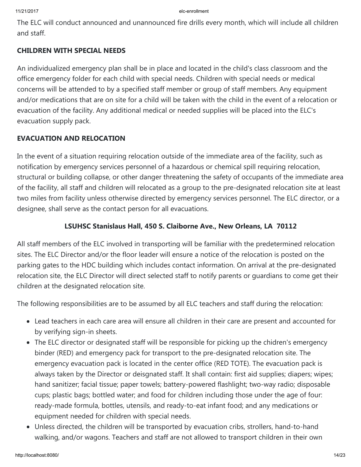The ELC will conduct announced and unannounced fire drills every month, which will include all children and staff.

#### CHILDREN WITH SPECIAL NEEDS

An individualized emergency plan shall be in place and located in the child's class classroom and the office emergency folder for each child with special needs. Children with special needs or medical concerns will be attended to by a specified staff member or group of staff members. Any equipment and/or medications that are on site for a child will be taken with the child in the event of a relocation or evacuation of the facility. Any additional medical or needed supplies will be placed into the ELC's evacuation supply pack.

#### EVACUATION AND RELOCATION

In the event of a situation requiring relocation outside of the immediate area of the facility, such as notification by emergency services personnel of a hazardous or chemical spill requiring relocation, structural or building collapse, or other danger threatening the safety of occupants of the immediate area of the facility, all staff and children will relocated as a group to the pre-designated relocation site at least two miles from facility unless otherwise directed by emergency services personnel. The ELC director, or a designee, shall serve as the contact person for all evacuations.

#### LSUHSC Stanislaus Hall, 450 S. Claiborne Ave., New Orleans, LA 70112

All staff members of the ELC involved in transporting will be familiar with the predetermined relocation sites. The ELC Director and/or the floor leader will ensure a notice of the relocation is posted on the parking gates to the HDC building which includes contact information. On arrival at the pre-designated relocation site, the ELC Director will direct selected staff to notify parents or guardians to come get their children at the designated relocation site.

The following responsibilities are to be assumed by all ELC teachers and staff during the relocation:

- Lead teachers in each care area will ensure all children in their care are present and accounted for by verifying sign-in sheets.
- The ELC director or designated staff will be responsible for picking up the chidren's emergency binder (RED) and emergency pack for transport to the pre-designated relocation site. The emergency evacuation pack is located in the center office (RED TOTE). The evacuation pack is always taken by the Director or deisgnated staff. It shall contain: first aid supplies; diapers; wipes; hand sanitizer; facial tissue; paper towels; battery-powered flashlight; two-way radio; disposable cups; plastic bags; bottled water; and food for children including those under the age of four: ready-made formula, bottles, utensils, and ready-to-eat infant food; and any medications or equipment needed for children with special needs.
- Unless directed, the children will be transported by evacuation cribs, strollers, hand-to-hand walking, and/or wagons. Teachers and staff are not allowed to transport children in their own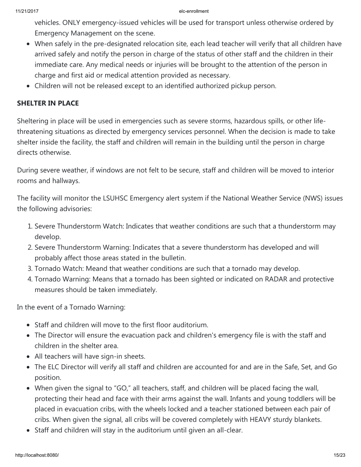vehicles. ONLY emergency-issued vehicles will be used for transport unless otherwise ordered by Emergency Management on the scene.

- When safely in the pre-designated relocation site, each lead teacher will verify that all children have arrived safely and notify the person in charge of the status of other staff and the children in their immediate care. Any medical needs or injuries will be brought to the attention of the person in charge and first aid or medical attention provided as necessary.
- Children will not be released except to an identified authorized pickup person.

#### SHELTER IN PLACE

Sheltering in place will be used in emergencies such as severe storms, hazardous spills, or other lifethreatening situations as directed by emergency services personnel. When the decision is made to take shelter inside the facility, the staff and children will remain in the building until the person in charge directs otherwise.

During severe weather, if windows are not felt to be secure, staff and children will be moved to interior rooms and hallways.

The facility will monitor the LSUHSC Emergency alert system if the National Weather Service (NWS) issues the following advisories:

- 1. Severe Thunderstorm Watch: Indicates that weather conditions are such that a thunderstorm may develop.
- 2. Severe Thunderstorm Warning: Indicates that a severe thunderstorm has developed and will probably affect those areas stated in the bulletin.
- 3. Tornado Watch: Meand that weather conditions are such that a tornado may develop.
- 4. Tornado Warning: Means that a tornado has been sighted or indicated on RADAR and protective measures should be taken immediately.

In the event of a Tornado Warning:

- Staff and children will move to the first floor auditorium.
- The Director will ensure the evacuation pack and children's emergency file is with the staff and children in the shelter area.
- All teachers will have sign-in sheets.
- The ELC Director will verify all staff and children are accounted for and are in the Safe, Set, and Go position.
- When given the signal to "GO," all teachers, staff, and children will be placed facing the wall, protecting their head and face with their arms against the wall. Infants and young toddlers will be placed in evacuation cribs, with the wheels locked and a teacher stationed between each pair of cribs. When given the signal, all cribs will be covered completely with HEAVY sturdy blankets.
- Staff and children will stay in the auditorium until given an all-clear.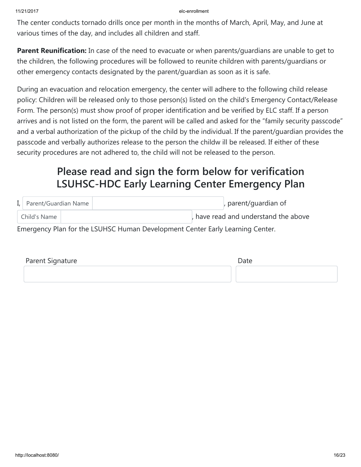The center conducts tornado drills once per month in the months of March, April, May, and June at various times of the day, and includes all children and staff.

**Parent Reunification:** In case of the need to evacuate or when parents/quardians are unable to get to the children, the following procedures will be followed to reunite children with parents/guardians or other emergency contacts designated by the parent/guardian as soon as it is safe.

During an evacuation and relocation emergency, the center will adhere to the following child release policy: Children will be released only to those person(s) listed on the child's Emergency Contact/Release Form. The person(s) must show proof of proper identification and be verified by ELC staff. If a person arrives and is not listed on the form, the parent will be called and asked for the "family security passcode" and a verbal authorization of the pickup of the child by the individual. If the parent/guardian provides the passcode and verbally authorizes release to the person the childw ill be released. If either of these security procedures are not adhered to, the child will not be released to the person.

### Please read and sign the form below for verification LSUHSC-HDC Early Learning Center Emergency Plan

| I, Parent/Guardian Name | , parent/guardian of               |
|-------------------------|------------------------------------|
| Child's Name            | have read and understand the above |

Emergency Plan for the LSUHSC Human Development Center Early Learning Center.

| Parent Signature | Date |
|------------------|------|
|                  |      |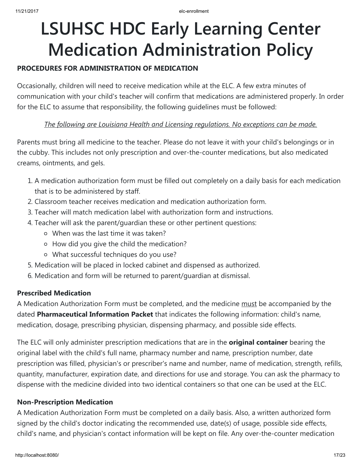# LSUHSC HDC Early Learning Center Medication Administration Policy

#### PROCEDURES FOR ADMINISTRATION OF MEDICATION

Occasionally, children will need to receive medication while at the ELC. A few extra minutes of communication with your child's teacher will confirm that medications are administered properly. In order for the ELC to assume that responsibility, the following guidelines must be followed:

#### The following are Louisiana Health and Licensing regulations. No exceptions can be made.

Parents must bring all medicine to the teacher. Please do not leave it with your child's belongings or in the cubby. This includes not only prescription and over-the-counter medications, but also medicated creams, ointments, and gels.

- 1. A medication authorization form must be filled out completely on a daily basis for each medication that is to be administered by staff.
- 2. Classroom teacher receives medication and medication authorization form.
- 3. Teacher will match medication label with authorization form and instructions.
- 4. Teacher will ask the parent/guardian these or other pertinent questions:
	- When was the last time it was taken?
	- How did you give the child the medication?
	- What successful techniques do you use?
- 5. Medication will be placed in locked cabinet and dispensed as authorized.
- 6. Medication and form will be returned to parent/guardian at dismissal.

#### Prescribed Medication

A Medication Authorization Form must be completed, and the medicine must be accompanied by the dated Pharmaceutical Information Packet that indicates the following information: child's name, medication, dosage, prescribing physician, dispensing pharmacy, and possible side effects.

The ELC will only administer prescription medications that are in the **original container** bearing the original label with the child's full name, pharmacy number and name, prescription number, date prescription was filled, physician's or prescriber's name and number, name of medication, strength, refills, quantity, manufacturer, expiration date, and directions for use and storage. You can ask the pharmacy to dispense with the medicine divided into two identical containers so that one can be used at the ELC.

#### Non-Prescription Medication

A Medication Authorization Form must be completed on a daily basis. Also, a written authorized form signed by the child's doctor indicating the recommended use, date(s) of usage, possible side effects, child's name, and physician's contact information will be kept on file. Any over-the-counter medication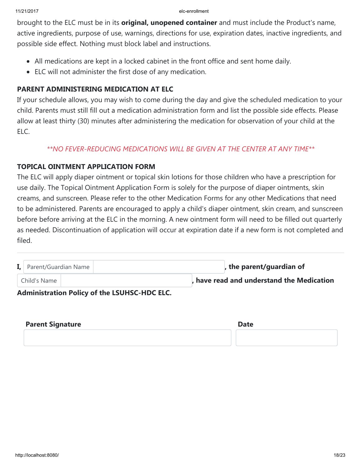brought to the ELC must be in its **original, unopened container** and must include the Product's name, active ingredients, purpose of use, warnings, directions for use, expiration dates, inactive ingredients, and possible side effect. Nothing must block label and instructions.

- All medications are kept in a locked cabinet in the front office and sent home daily.
- ELC will not administer the first dose of any medication.

#### PARENT ADMINISTERING MEDICATION AT ELC

If your schedule allows, you may wish to come during the day and give the scheduled medication to your child. Parents must still fill out a medication administration form and list the possible side effects. Please allow at least thirty (30) minutes after administering the medication for observation of your child at the ELC.

#### \*\*NO FEVER-REDUCING MEDICATIONS WILL BE GIVEN AT THE CENTER AT ANY TIME\*\*

#### TOPICAL OINTMENT APPLICATION FORM

The ELC will apply diaper ointment or topical skin lotions for those children who have a prescription for use daily. The Topical Ointment Application Form is solely for the purpose of diaper ointments, skin creams, and sunscreen. Please refer to the other Medication Forms for any other Medications that need to be administered. Parents are encouraged to apply a child's diaper ointment, skin cream, and sunscreen before before arriving at the ELC in the morning. A new ointment form will need to be filled out quarterly as needed. Discontinuation of application will occur at expiration date if a new form is not completed and filed.

| I, Parent/Guardian Name | , the parent/guardian of                |
|-------------------------|-----------------------------------------|
| Child's Name            | have read and understand the Medication |

#### Administration Policy of the LSUHSC-HDC ELC.

| <b>Parent Signature</b> | <b>Date</b> |
|-------------------------|-------------|
|                         |             |
|                         |             |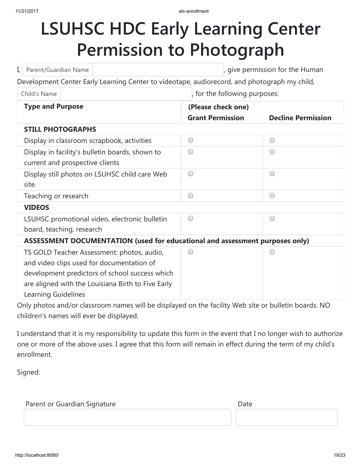# LSUHSC HDC Early Learning Center Permission to Photograph

| Parent/Guardian Name<br>I,                                                                                                                                                                                             | , give permission for the Human |                           |  |
|------------------------------------------------------------------------------------------------------------------------------------------------------------------------------------------------------------------------|---------------------------------|---------------------------|--|
| Development Center Early Learning Center to videotape, audiorecord, and photograph my child,                                                                                                                           |                                 |                           |  |
| Child's Name                                                                                                                                                                                                           | , for the following purposes:   |                           |  |
| <b>Type and Purpose</b>                                                                                                                                                                                                | (Please check one)              |                           |  |
|                                                                                                                                                                                                                        | <b>Grant Permission</b>         | <b>Decline Permission</b> |  |
| <b>STILL PHOTOGRAPHS</b>                                                                                                                                                                                               |                                 |                           |  |
| Display in classroom scrapbook, activities                                                                                                                                                                             | $\bigcirc$                      | $\bigcirc$                |  |
| Display in facility's bulletin boards, shown to<br>current and prospective clients                                                                                                                                     | $($ )                           | $(\ )$                    |  |
| Display still photos on LSUHSC child care Web<br>site                                                                                                                                                                  | $\bigcirc$                      | ◯                         |  |
| Teaching or research                                                                                                                                                                                                   | $($ )                           | $\bigcirc$                |  |
| <b>VIDEOS</b>                                                                                                                                                                                                          |                                 |                           |  |
| LSUHSC promotional video, electronic bulletin                                                                                                                                                                          | $($ )                           | ◯                         |  |
| board, teaching, research                                                                                                                                                                                              |                                 |                           |  |
| ASSESSMENT DOCUMENTATION (used for educational and assessment purposes only)                                                                                                                                           |                                 |                           |  |
| TS GOLD Teacher Assessment: photos, audio,<br>and video clips used for documentation of<br>development predictors of school success which<br>are aligned with the Louisiana Birth to Five Early<br>Learning Guidelines |                                 |                           |  |

Only photos and/or classroom names will be displayed on the facility Web site or bulletin boards. NO children's names will ever be displayed.

I understand that it is my responsibility to update this form in the event that I no longer wish to authorize one or more of the above uses. I agree that this form will remain in effect during the term of my child's enrollment.

Signed:

| Parent or Guardian Signature |  | Date |
|------------------------------|--|------|
|------------------------------|--|------|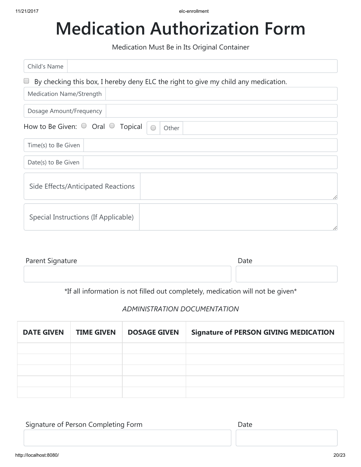# Medication Authorization Form

Medication Must Be in Its Original Container

| Child's Name                          |                                                                                    |
|---------------------------------------|------------------------------------------------------------------------------------|
| $\Box$                                | By checking this box, I hereby deny ELC the right to give my child any medication. |
| Medication Name/Strength              |                                                                                    |
| Dosage Amount/Frequency               |                                                                                    |
| How to Be Given: $\circ$ Oral $\circ$ | Topical<br>Other                                                                   |
| Time(s) to Be Given                   |                                                                                    |
| Date(s) to Be Given                   |                                                                                    |
| Side Effects/Anticipated Reactions    | //                                                                                 |
| Special Instructions (If Applicable)  | //                                                                                 |

| Parent Signature | Date |
|------------------|------|
|                  |      |

\*If all information is not filled out completely, medication will not be given\*

#### ADMINISTRATION DOCUMENTATION

| <b>DATE GIVEN</b> | <b>TIME GIVEN</b> | <b>DOSAGE GIVEN</b> | <b>Signature of PERSON GIVING MEDICATION</b> |
|-------------------|-------------------|---------------------|----------------------------------------------|
|                   |                   |                     |                                              |
|                   |                   |                     |                                              |
|                   |                   |                     |                                              |
|                   |                   |                     |                                              |
|                   |                   |                     |                                              |

| Signature of Person Completing Form | Date |
|-------------------------------------|------|
|                                     |      |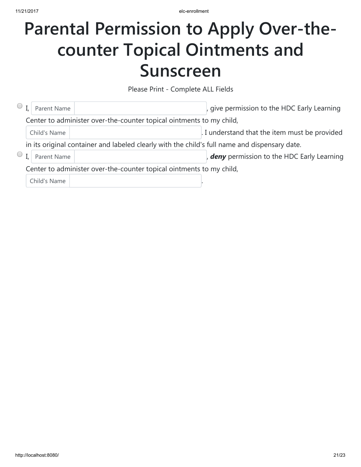## Parental Permission to Apply Over-thecounter Topical Ointments and Sunscreen

Please Print - Complete ALL Fields

|                                                                      |  | Parent Name  |                                                                                               | , give permission to the HDC Early Learning   |
|----------------------------------------------------------------------|--|--------------|-----------------------------------------------------------------------------------------------|-----------------------------------------------|
|                                                                      |  |              | Center to administer over-the-counter topical ointments to my child,                          |                                               |
|                                                                      |  | Child's Name |                                                                                               | . I understand that the item must be provided |
|                                                                      |  |              | in its original container and labeled clearly with the child's full name and dispensary date. |                                               |
|                                                                      |  | Parent Name  |                                                                                               | deny permission to the HDC Early Learning     |
| Center to administer over-the-counter topical ointments to my child, |  |              |                                                                                               |                                               |
|                                                                      |  | Child's Name |                                                                                               |                                               |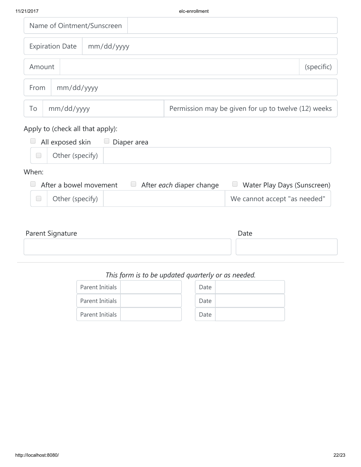|                      |                        | Name of Ointment/Sunscreen |  |                                                     |  |
|----------------------|------------------------|----------------------------|--|-----------------------------------------------------|--|
|                      | <b>Expiration Date</b> | mm/dd/yyyy                 |  |                                                     |  |
| (specific)<br>Amount |                        |                            |  |                                                     |  |
| mm/dd/yyyy<br>From   |                        |                            |  |                                                     |  |
| To                   | mm/dd/yyyy             |                            |  | Permission may be given for up to twelve (12) weeks |  |

### Apply to (check all that apply):

|       | $\Box$ All exposed skin $\Box$ Diaper area |  |
|-------|--------------------------------------------|--|
|       | Other (specify)                            |  |
| When: |                                            |  |

#### When:

|                 | $\Box$ After a bowel movement $\Box$ After each diaper change | Water Play Days (Sunscreen)  |
|-----------------|---------------------------------------------------------------|------------------------------|
| Other (specify) |                                                               | We cannot accept "as needed" |

| Parent Signature | Date |
|------------------|------|
|                  |      |
|                  |      |

### This form is to be updated quarterly or as needed.

| Parent Initials |  | Date |  |
|-----------------|--|------|--|
| Parent Initials |  | Date |  |
| Parent Initials |  | Date |  |